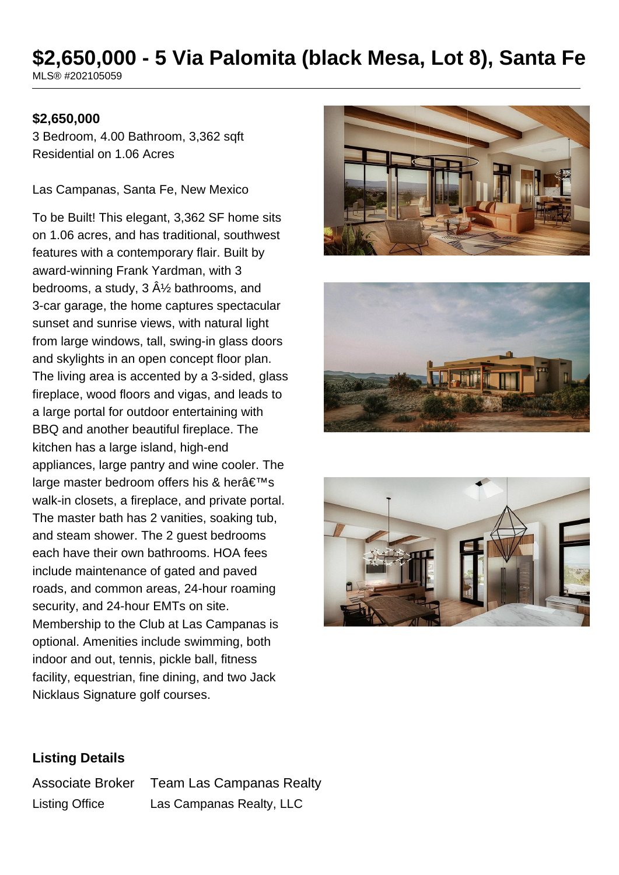# **\$2,650,000 - 5 Via Palomita (black Mesa, Lot 8), Santa Fe**

MLS® #202105059

## **\$2,650,000**

3 Bedroom, 4.00 Bathroom, 3,362 sqft Residential on 1.06 Acres

Las Campanas, Santa Fe, New Mexico

To be Built! This elegant, 3,362 SF home sits on 1.06 acres, and has traditional, southwest features with a contemporary flair. Built by award-winning Frank Yardman, with 3 bedrooms, a study,  $3 \hat{A}$  bathrooms, and 3-car garage, the home captures spectacular sunset and sunrise views, with natural light from large windows, tall, swing-in glass doors and skylights in an open concept floor plan. The living area is accented by a 3-sided, glass fireplace, wood floors and vigas, and leads to a large portal for outdoor entertaining with BBQ and another beautiful fireplace. The kitchen has a large island, high-end appliances, large pantry and wine cooler. The large master bedroom offers his & her $a \in T^M$ s walk-in closets, a fireplace, and private portal. The master bath has 2 vanities, soaking tub, and steam shower. The 2 guest bedrooms each have their own bathrooms. HOA fees include maintenance of gated and paved roads, and common areas, 24-hour roaming security, and 24-hour EMTs on site. Membership to the Club at Las Campanas is optional. Amenities include swimming, both indoor and out, tennis, pickle ball, fitness facility, equestrian, fine dining, and two Jack Nicklaus Signature golf courses.







## **Listing Details**

Associate Broker Team Las Campanas Realty Listing Office Las Campanas Realty, LLC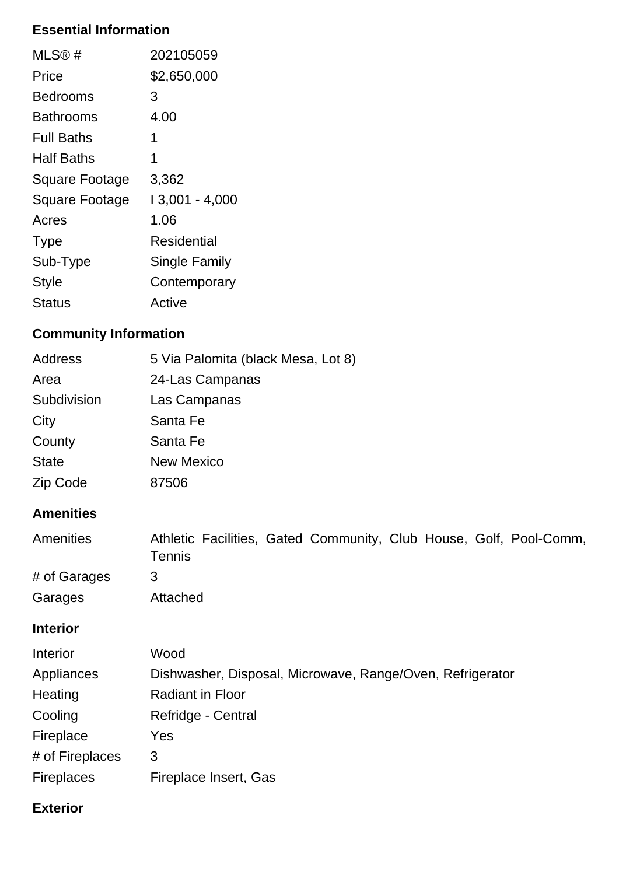## **Essential Information**

| $MLS@$ #          | 202105059      |
|-------------------|----------------|
| Price             | \$2,650,000    |
| Bedrooms          | 3              |
| Bathrooms         | 4.00           |
| <b>Full Baths</b> | 1              |
| <b>Half Baths</b> | 1              |
| Square Footage    | 3,362          |
| Square Footage    | 13,001 - 4,000 |
| Acres             | 1.06           |
| <b>Type</b>       | Residential    |
| Sub-Type          | Single Family  |
| <b>Style</b>      | Contemporary   |
| Status            | Active         |

# **Community Information**

| <b>Address</b>    | 5 Via Palomita (black Mesa, Lot 8)                                                  |
|-------------------|-------------------------------------------------------------------------------------|
| Area              | 24-Las Campanas                                                                     |
| Subdivision       | Las Campanas                                                                        |
| City              | Santa Fe                                                                            |
| County            | Santa Fe                                                                            |
| <b>State</b>      | <b>New Mexico</b>                                                                   |
| Zip Code          | 87506                                                                               |
| <b>Amenities</b>  |                                                                                     |
| Amenities         | Athletic Facilities, Gated Community, Club House, Golf, Pool-Comm,<br><b>Tennis</b> |
| # of Garages      | 3                                                                                   |
| Garages           | Attached                                                                            |
| <b>Interior</b>   |                                                                                     |
| Interior          | Wood                                                                                |
| Appliances        | Dishwasher, Disposal, Microwave, Range/Oven, Refrigerator                           |
| Heating           | <b>Radiant in Floor</b>                                                             |
| Cooling           | Refridge - Central                                                                  |
| Fireplace         | Yes                                                                                 |
| # of Fireplaces   | 3                                                                                   |
| <b>Fireplaces</b> | Fireplace Insert, Gas                                                               |

## **Exterior**